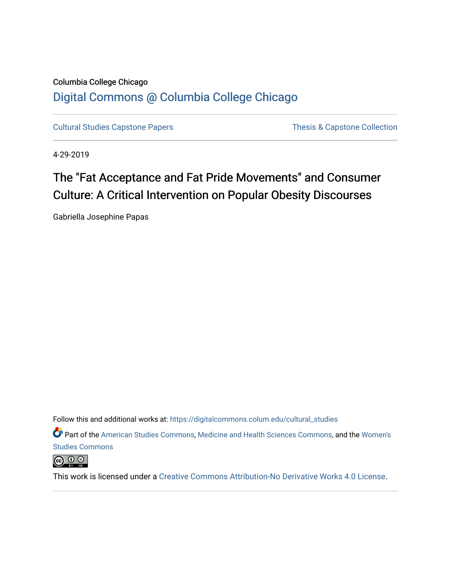# Columbia College Chicago [Digital Commons @ Columbia College Chicago](https://digitalcommons.colum.edu/)

[Cultural Studies Capstone Papers](https://digitalcommons.colum.edu/cultural_studies) Thesis & Capstone Collection

4-29-2019

# The "Fat Acceptance and Fat Pride Movements" and Consumer Culture: A Critical Intervention on Popular Obesity Discourses

Gabriella Josephine Papas

Follow this and additional works at: [https://digitalcommons.colum.edu/cultural\\_studies](https://digitalcommons.colum.edu/cultural_studies?utm_source=digitalcommons.colum.edu%2Fcultural_studies%2F67&utm_medium=PDF&utm_campaign=PDFCoverPages) 

Part of the [American Studies Commons](http://network.bepress.com/hgg/discipline/439?utm_source=digitalcommons.colum.edu%2Fcultural_studies%2F67&utm_medium=PDF&utm_campaign=PDFCoverPages), [Medicine and Health Sciences Commons,](http://network.bepress.com/hgg/discipline/648?utm_source=digitalcommons.colum.edu%2Fcultural_studies%2F67&utm_medium=PDF&utm_campaign=PDFCoverPages) and the [Women's](http://network.bepress.com/hgg/discipline/561?utm_source=digitalcommons.colum.edu%2Fcultural_studies%2F67&utm_medium=PDF&utm_campaign=PDFCoverPages)  [Studies Commons](http://network.bepress.com/hgg/discipline/561?utm_source=digitalcommons.colum.edu%2Fcultural_studies%2F67&utm_medium=PDF&utm_campaign=PDFCoverPages) 

 $\circledcirc$ 

This work is licensed under a [Creative Commons Attribution-No Derivative Works 4.0 License.](https://creativecommons.org/licenses/by-nd/4.0/)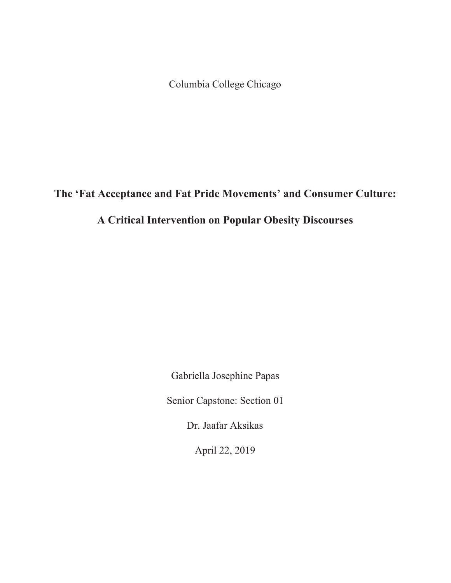Columbia College Chicago

**The 'Fat Acceptance and Fat Pride Movements' and Consumer Culture:** 

# **A Critical Intervention on Popular Obesity Discourses**

Gabriella Josephine Papas

Senior Capstone: Section 01

Dr. Jaafar Aksikas

April 22, 2019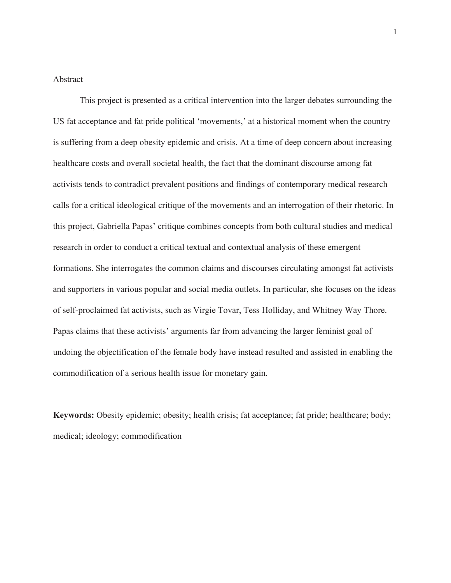# Abstract

This project is presented as a critical intervention into the larger debates surrounding the US fat acceptance and fat pride political 'movements,' at a historical moment when the country is suffering from a deep obesity epidemic and crisis. At a time of deep concern about increasing healthcare costs and overall societal health, the fact that the dominant discourse among fat activists tends to contradict prevalent positions and findings of contemporary medical research calls for a critical ideological critique of the movements and an interrogation of their rhetoric. In this project, Gabriella Papas' critique combines concepts from both cultural studies and medical research in order to conduct a critical textual and contextual analysis of these emergent formations. She interrogates the common claims and discourses circulating amongst fat activists and supporters in various popular and social media outlets. In particular, she focuses on the ideas of self-proclaimed fat activists, such as Virgie Tovar, Tess Holliday, and Whitney Way Thore. Papas claims that these activists' arguments far from advancing the larger feminist goal of undoing the objectification of the female body have instead resulted and assisted in enabling the commodification of a serious health issue for monetary gain.

**Keywords:** Obesity epidemic; obesity; health crisis; fat acceptance; fat pride; healthcare; body; medical; ideology; commodification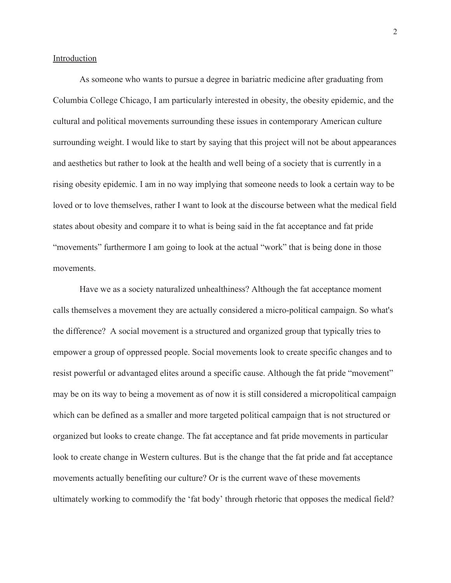# Introduction

As someone who wants to pursue a degree in bariatric medicine after graduating from Columbia College Chicago, I am particularly interested in obesity, the obesity epidemic, and the cultural and political movements surrounding these issues in contemporary American culture surrounding weight. I would like to start by saying that this project will not be about appearances and aesthetics but rather to look at the health and well being of a society that is currently in a rising obesity epidemic. I am in no way implying that someone needs to look a certain way to be loved or to love themselves, rather I want to look at the discourse between what the medical field states about obesity and compare it to what is being said in the fat acceptance and fat pride "movements" furthermore I am going to look at the actual "work" that is being done in those movements.

Have we as a society naturalized unhealthiness? Although the fat acceptance moment calls themselves a movement they are actually considered a micro-political campaign. So what's the difference? A social movement is a structured and organized group that typically tries to empower a group of oppressed people. Social movements look to create specific changes and to resist powerful or advantaged elites around a specific cause. Although the fat pride "movement" may be on its way to being a movement as of now it is still considered a micropolitical campaign which can be defined as a smaller and more targeted political campaign that is not structured or organized but looks to create change. The fat acceptance and fat pride movements in particular look to create change in Western cultures. But is the change that the fat pride and fat acceptance movements actually benefiting our culture? Or is the current wave of these movements ultimately working to commodify the 'fat body' through rhetoric that opposes the medical field?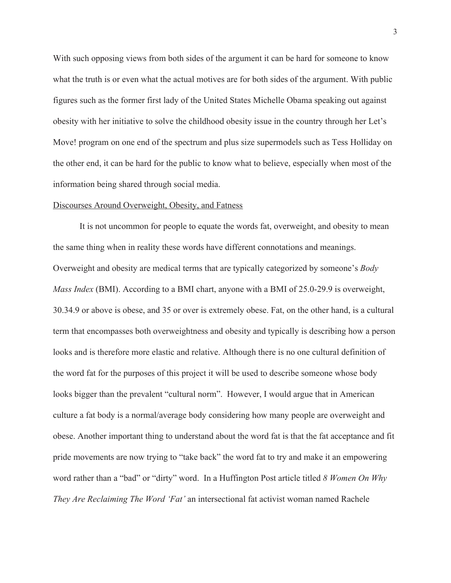With such opposing views from both sides of the argument it can be hard for someone to know what the truth is or even what the actual motives are for both sides of the argument. With public figures such as the former first lady of the United States Michelle Obama speaking out against obesity with her initiative to solve the childhood obesity issue in the country through her Let's Move! program on one end of the spectrum and plus size supermodels such as Tess Holliday on the other end, it can be hard for the public to know what to believe, especially when most of the information being shared through social media.

#### Discourses Around Overweight, Obesity, and Fatness

It is not uncommon for people to equate the words fat, overweight, and obesity to mean the same thing when in reality these words have different connotations and meanings. Overweight and obesity are medical terms that are typically categorized by someone's *Body Mass Index* (BMI). According to a BMI chart, anyone with a BMI of 25.0-29.9 is overweight, 30.34.9 or above is obese, and 35 or over is extremely obese. Fat, on the other hand, is a cultural term that encompasses both overweightness and obesity and typically is describing how a person looks and is therefore more elastic and relative. Although there is no one cultural definition of the word fat for the purposes of this project it will be used to describe someone whose body looks bigger than the prevalent "cultural norm". However, I would argue that in American culture a fat body is a normal/average body considering how many people are overweight and obese. Another important thing to understand about the word fat is that the fat acceptance and fit pride movements are now trying to "take back" the word fat to try and make it an empowering word rather than a "bad" or "dirty" word. In a Huffington Post article titled *8 Women On Why They Are Reclaiming The Word 'Fat'* an intersectional fat activist woman named Rachele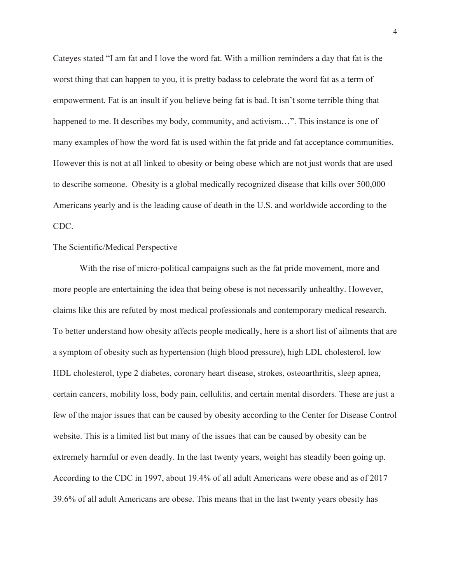Cateyes stated "I am fat and I love the word fat. With a million reminders a day that fat is the worst thing that can happen to you, it is pretty badass to celebrate the word fat as a term of empowerment. Fat is an insult if you believe being fat is bad. It isn't some terrible thing that happened to me. It describes my body, community, and activism...". This instance is one of many examples of how the word fat is used within the fat pride and fat acceptance communities. However this is not at all linked to obesity or being obese which are not just words that are used to describe someone. Obesity is a global medically recognized disease that kills over 500,000 Americans yearly and is the leading cause of death in the U.S. and worldwide according to the CDC.

## The Scientific/Medical Perspective

With the rise of micro-political campaigns such as the fat pride movement, more and more people are entertaining the idea that being obese is not necessarily unhealthy. However, claims like this are refuted by most medical professionals and contemporary medical research. To better understand how obesity affects people medically, here is a short list of ailments that are a symptom of obesity such as hypertension (high blood pressure), high LDL cholesterol, low HDL cholesterol, type 2 diabetes, coronary heart disease, strokes, osteoarthritis, sleep apnea, certain cancers, mobility loss, body pain, cellulitis, and certain mental disorders. These are just a few of the major issues that can be caused by obesity according to the Center for Disease Control website. This is a limited list but many of the issues that can be caused by obesity can be extremely harmful or even deadly. In the last twenty years, weight has steadily been going up. According to the CDC in 1997, about 19.4% of all adult Americans were obese and as of 2017 39.6% of all adult Americans are obese. This means that in the last twenty years obesity has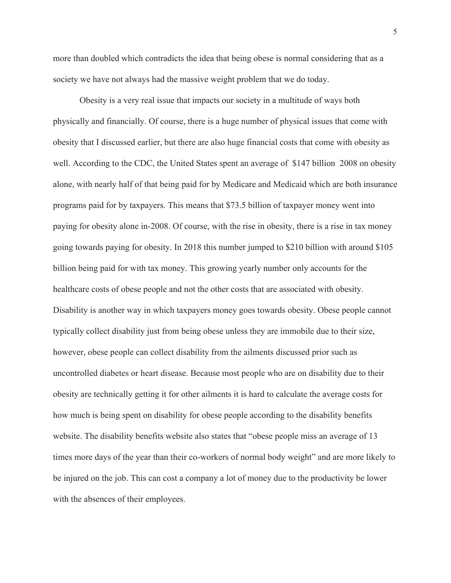more than doubled which contradicts the idea that being obese is normal considering that as a society we have not always had the massive weight problem that we do today.

Obesity is a very real issue that impacts our society in a multitude of ways both physically and financially. Of course, there is a huge number of physical issues that come with obesity that I discussed earlier, but there are also huge financial costs that come with obesity as well. According to the CDC, the United States spent an average of \$147 billion 2008 on obesity alone, with nearly half of that being paid for by Medicare and Medicaid which are both insurance programs paid for by taxpayers. This means that \$73.5 billion of taxpayer money went into paying for obesity alone in-2008. Of course, with the rise in obesity, there is a rise in tax money going towards paying for obesity. In 2018 this number jumped to \$210 billion with around \$105 billion being paid for with tax money. This growing yearly number only accounts for the healthcare costs of obese people and not the other costs that are associated with obesity. Disability is another way in which taxpayers money goes towards obesity. Obese people cannot typically collect disability just from being obese unless they are immobile due to their size, however, obese people can collect disability from the ailments discussed prior such as uncontrolled diabetes or heart disease. Because most people who are on disability due to their obesity are technically getting it for other ailments it is hard to calculate the average costs for how much is being spent on disability for obese people according to the disability benefits website. The disability benefits website also states that "obese people miss an average of 13 times more days of the year than their co-workers of normal body weight" and are more likely to be injured on the job. This can cost a company a lot of money due to the productivity be lower with the absences of their employees.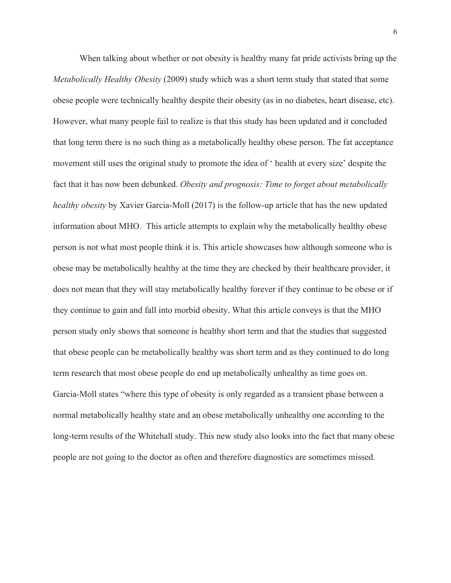When talking about whether or not obesity is healthy many fat pride activists bring up the *Metabolically Healthy Obesity* (2009) study which was a short term study that stated that some obese people were technically healthy despite their obesity (as in no diabetes, heart disease, etc). However, what many people fail to realize is that this study has been updated and it concluded that long term there is no such thing as a metabolically healthy obese person. The fat acceptance movement still uses the original study to promote the idea of ' health at every size' despite the fact that it has now been debunked. *Obesity and prognosis: Time to forget about metabolically healthy obesity* by Xavier Garcia-Moll (2017) is the follow-up article that has the new updated information about MHO. This article attempts to explain why the metabolically healthy obese person is not what most people think it is. This article showcases how although someone who is obese may be metabolically healthy at the time they are checked by their healthcare provider, it does not mean that they will stay metabolically healthy forever if they continue to be obese or if they continue to gain and fall into morbid obesity. What this article conveys is that the MHO person study only shows that someone is healthy short term and that the studies that suggested that obese people can be metabolically healthy was short term and as they continued to do long term research that most obese people do end up metabolically unhealthy as time goes on. Garcia-Moll states "where this type of obesity is only regarded as a transient phase between a normal metabolically healthy state and an obese metabolically unhealthy one according to the long-term results of the Whitehall study. This new study also looks into the fact that many obese people are not going to the doctor as often and therefore diagnostics are sometimes missed.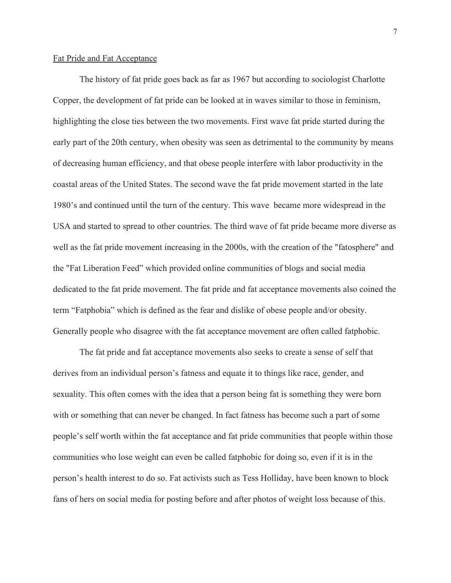#### Fat Pride and Fat Acceptance

The history of fat pride goes back as far as 1967 but according to sociologist Charlotte Copper, the development of fat pride can be looked at in waves similar to those in feminism, highlighting the close ties between the two movements. First wave fat pride started during the early part of the 20th century, when obesity was seen as detrimental to the community by means of decreasing human efficiency, and that obese people interfere with labor productivity in the coastal areas of the United States. The second wave the fat pride movement started in the late 1980's and continued until the turn of the century. This wave became more widespread in the USA and started to spread to other countries. The third wave of fat pride became more diverse as well as the fat pride movement increasing in the 2000s, with the creation of the "fatosphere" and the "Fat Liberation Feed" which provided online communities of blogs and social media dedicated to the fat pride movement. The fat pride and fat acceptance movements also coined the term "Fatphobia" which is defined as the fear and dislike of obese people and/or obesity. Generally people who disagree with the fat acceptance movement are often called fatphobic.

The fat pride and fat acceptance movements also seeks to create a sense of self that derives from an individual person's fatness and equate it to things like race, gender, and sexuality. This often comes with the idea that a person being fat is something they were born with or something that can never be changed. In fact fatness has become such a part of some people's self worth within the fat acceptance and fat pride communities that people within those communities who lose weight can even be called fatphobic for doing so, even if it is in the person's health interest to do so. Fat activists such as Tess Holliday, have been known to block fans of hers on social media for posting before and after photos of weight loss because of this.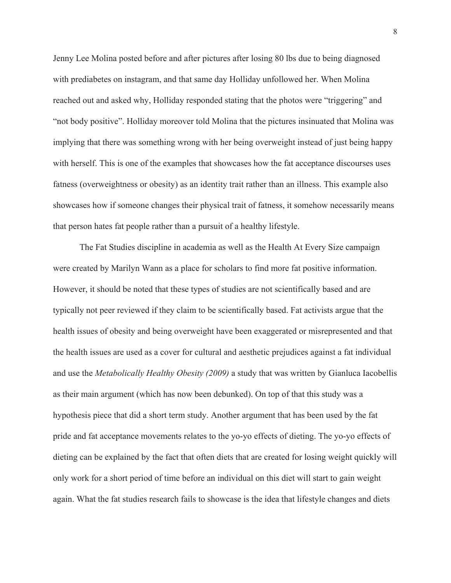Jenny Lee Molina posted before and after pictures after losing 80 lbs due to being diagnosed with prediabetes on instagram, and that same day Holliday unfollowed her. When Molina reached out and asked why, Holliday responded stating that the photos were "triggering" and "not body positive". Holliday moreover told Molina that the pictures insinuated that Molina was implying that there was something wrong with her being overweight instead of just being happy with herself. This is one of the examples that showcases how the fat acceptance discourses uses fatness (overweightness or obesity) as an identity trait rather than an illness. This example also showcases how if someone changes their physical trait of fatness, it somehow necessarily means that person hates fat people rather than a pursuit of a healthy lifestyle.

The Fat Studies discipline in academia as well as the Health At Every Size campaign were created by Marilyn Wann as a place for scholars to find more fat positive information. However, it should be noted that these types of studies are not scientifically based and are typically not peer reviewed if they claim to be scientifically based. Fat activists argue that the health issues of obesity and being overweight have been exaggerated or misrepresented and that the health issues are used as a cover for cultural and aesthetic prejudices against a fat individual and use the *Metabolically Healthy Obesity (2009)* a study that was written by Gianluca Iacobellis as their main argument (which has now been debunked). On top of that this study was a hypothesis piece that did a short term study. Another argument that has been used by the fat pride and fat acceptance movements relates to the yo-yo effects of dieting. The yo-yo effects of dieting can be explained by the fact that often diets that are created for losing weight quickly will only work for a short period of time before an individual on this diet will start to gain weight again. What the fat studies research fails to showcase is the idea that lifestyle changes and diets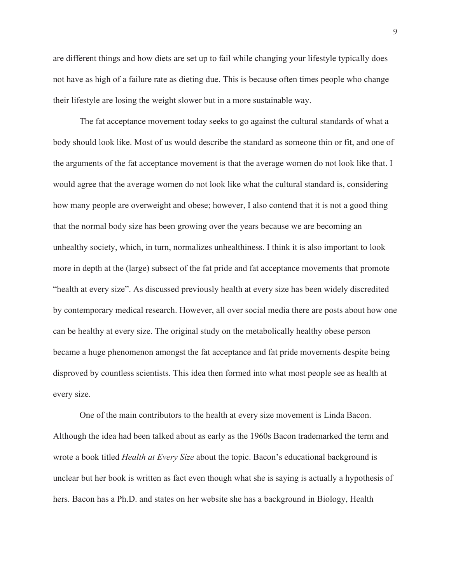are different things and how diets are set up to fail while changing your lifestyle typically does not have as high of a failure rate as dieting due. This is because often times people who change their lifestyle are losing the weight slower but in a more sustainable way.

The fat acceptance movement today seeks to go against the cultural standards of what a body should look like. Most of us would describe the standard as someone thin or fit, and one of the arguments of the fat acceptance movement is that the average women do not look like that. I would agree that the average women do not look like what the cultural standard is, considering how many people are overweight and obese; however, I also contend that it is not a good thing that the normal body size has been growing over the years because we are becoming an unhealthy society, which, in turn, normalizes unhealthiness. I think it is also important to look more in depth at the (large) subsect of the fat pride and fat acceptance movements that promote "health at every size". As discussed previously health at every size has been widely discredited by contemporary medical research. However, all over social media there are posts about how one can be healthy at every size. The original study on the metabolically healthy obese person became a huge phenomenon amongst the fat acceptance and fat pride movements despite being disproved by countless scientists. This idea then formed into what most people see as health at every size.

One of the main contributors to the health at every size movement is Linda Bacon. Although the idea had been talked about as early as the 1960s Bacon trademarked the term and wrote a book titled *Health at Every Size* about the topic. Bacon's educational background is unclear but her book is written as fact even though what she is saying is actually a hypothesis of hers. Bacon has a Ph.D. and states on her website she has a background in Biology, Health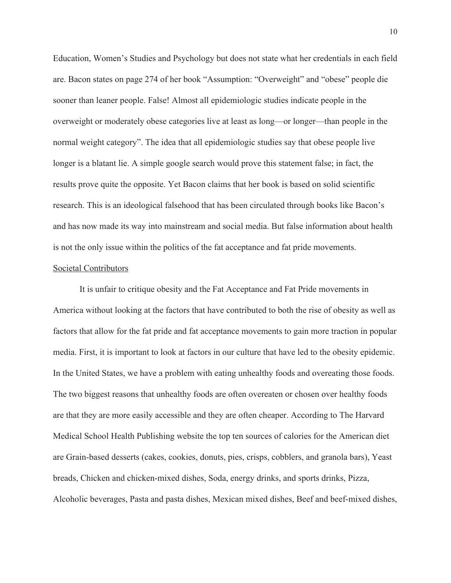Education, Women's Studies and Psychology but does not state what her credentials in each field are. Bacon states on page 274 of her book "Assumption: "Overweight" and "obese" people die sooner than leaner people. False! Almost all epidemiologic studies indicate people in the overweight or moderately obese categories live at least as long—or longer—than people in the normal weight category". The idea that all epidemiologic studies say that obese people live longer is a blatant lie. A simple google search would prove this statement false; in fact, the results prove quite the opposite. Yet Bacon claims that her book is based on solid scientific research. This is an ideological falsehood that has been circulated through books like Bacon's and has now made its way into mainstream and social media. But false information about health is not the only issue within the politics of the fat acceptance and fat pride movements.

## Societal Contributors

It is unfair to critique obesity and the Fat Acceptance and Fat Pride movements in America without looking at the factors that have contributed to both the rise of obesity as well as factors that allow for the fat pride and fat acceptance movements to gain more traction in popular media. First, it is important to look at factors in our culture that have led to the obesity epidemic. In the United States, we have a problem with eating unhealthy foods and overeating those foods. The two biggest reasons that unhealthy foods are often overeaten or chosen over healthy foods are that they are more easily accessible and they are often cheaper. According to The Harvard Medical School Health Publishing website the top ten sources of calories for the American diet are Grain-based desserts (cakes, cookies, donuts, pies, crisps, cobblers, and granola bars), Yeast breads, Chicken and chicken-mixed dishes, Soda, energy drinks, and sports drinks, Pizza, Alcoholic beverages, Pasta and pasta dishes, Mexican mixed dishes, Beef and beef-mixed dishes,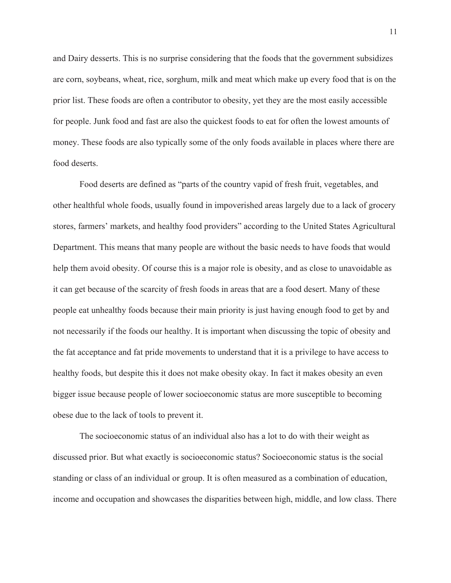and Dairy desserts. This is no surprise considering that the foods that the government subsidizes are corn, soybeans, wheat, rice, sorghum, milk and meat which make up every food that is on the prior list. These foods are often a contributor to obesity, yet they are the most easily accessible for people. Junk food and fast are also the quickest foods to eat for often the lowest amounts of money. These foods are also typically some of the only foods available in places where there are food deserts.

Food deserts are defined as "parts of the country vapid of fresh fruit, vegetables, and other healthful whole foods, usually found in impoverished areas largely due to a lack of grocery stores, farmers' markets, and healthy food providers" according to the United States Agricultural Department. This means that many people are without the basic needs to have foods that would help them avoid obesity. Of course this is a major role is obesity, and as close to unavoidable as it can get because of the scarcity of fresh foods in areas that are a food desert. Many of these people eat unhealthy foods because their main priority is just having enough food to get by and not necessarily if the foods our healthy. It is important when discussing the topic of obesity and the fat acceptance and fat pride movements to understand that it is a privilege to have access to healthy foods, but despite this it does not make obesity okay. In fact it makes obesity an even bigger issue because people of lower socioeconomic status are more susceptible to becoming obese due to the lack of tools to prevent it.

The socioeconomic status of an individual also has a lot to do with their weight as discussed prior. But what exactly is socioeconomic status? Socioeconomic status is the social standing or class of an individual or group. It is often measured as a combination of education, income and occupation and showcases the disparities between high, middle, and low class. There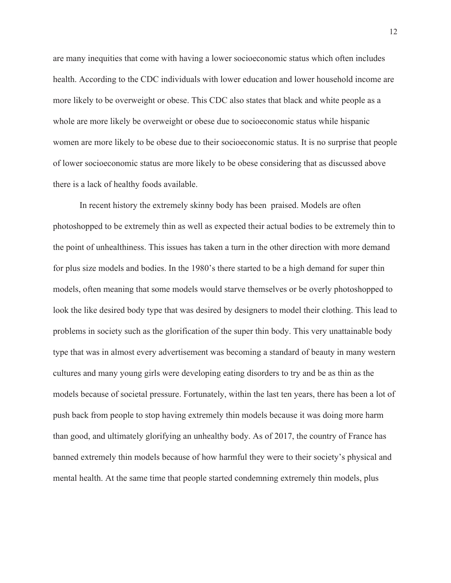are many inequities that come with having a lower socioeconomic status which often includes health. According to the CDC individuals with lower education and lower household income are more likely to be overweight or obese. This CDC also states that black and white people as a whole are more likely be overweight or obese due to socioeconomic status while hispanic women are more likely to be obese due to their socioeconomic status. It is no surprise that people of lower socioeconomic status are more likely to be obese considering that as discussed above there is a lack of healthy foods available.

In recent history the extremely skinny body has been praised. Models are often photoshopped to be extremely thin as well as expected their actual bodies to be extremely thin to the point of unhealthiness. This issues has taken a turn in the other direction with more demand for plus size models and bodies. In the 1980's there started to be a high demand for super thin models, often meaning that some models would starve themselves or be overly photoshopped to look the like desired body type that was desired by designers to model their clothing. This lead to problems in society such as the glorification of the super thin body. This very unattainable body type that was in almost every advertisement was becoming a standard of beauty in many western cultures and many young girls were developing eating disorders to try and be as thin as the models because of societal pressure. Fortunately, within the last ten years, there has been a lot of push back from people to stop having extremely thin models because it was doing more harm than good, and ultimately glorifying an unhealthy body. As of 2017, the country of France has banned extremely thin models because of how harmful they were to their society's physical and mental health. At the same time that people started condemning extremely thin models, plus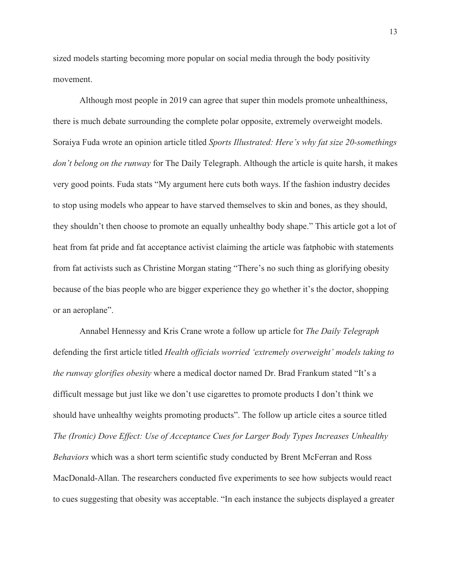sized models starting becoming more popular on social media through the body positivity movement.

Although most people in 2019 can agree that super thin models promote unhealthiness, there is much debate surrounding the complete polar opposite, extremely overweight models. Soraiya Fuda wrote an opinion article titled *Sports Illustrated: Here's why fat size 20-somethings don't belong on the runway* for The Daily Telegraph. Although the article is quite harsh, it makes very good points. Fuda stats "My argument here cuts both ways. If the fashion industry decides to stop using models who appear to have starved themselves to skin and bones, as they should, they shouldn't then choose to promote an equally unhealthy body shape." This article got a lot of heat from fat pride and fat acceptance activist claiming the article was fatphobic with statements from fat activists such as Christine Morgan stating "There's no such thing as glorifying obesity because of the bias people who are bigger experience they go whether it's the doctor, shopping or an aeroplane".

Annabel Hennessy and Kris Crane wrote a follow up article for *The Daily Telegraph*  defending the first article titled *Health officials worried 'extremely overweight' models taking to the runway glorifies obesity* where a medical doctor named Dr. Brad Frankum stated "It's a difficult message but just like we don't use cigarettes to promote products I don't think we should have unhealthy weights promoting products". The follow up article cites a source titled *The (Ironic) Dove Effect: Use of Acceptance Cues for Larger Body Types Increases Unhealthy Behaviors* which was a short term scientific study conducted by Brent McFerran and Ross MacDonald-Allan. The researchers conducted five experiments to see how subjects would react to cues suggesting that obesity was acceptable. "In each instance the subjects displayed a greater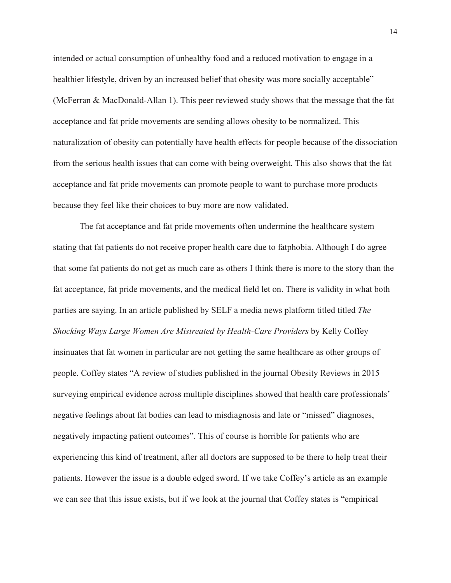intended or actual consumption of unhealthy food and a reduced motivation to engage in a healthier lifestyle, driven by an increased belief that obesity was more socially acceptable" (McFerran & MacDonald-Allan 1). This peer reviewed study shows that the message that the fat acceptance and fat pride movements are sending allows obesity to be normalized. This naturalization of obesity can potentially have health effects for people because of the dissociation from the serious health issues that can come with being overweight. This also shows that the fat acceptance and fat pride movements can promote people to want to purchase more products because they feel like their choices to buy more are now validated.

The fat acceptance and fat pride movements often undermine the healthcare system stating that fat patients do not receive proper health care due to fatphobia. Although I do agree that some fat patients do not get as much care as others I think there is more to the story than the fat acceptance, fat pride movements, and the medical field let on. There is validity in what both parties are saying. In an article published by SELF a media news platform titled titled *The Shocking Ways Large Women Are Mistreated by Health-Care Providers* by Kelly Coffey insinuates that fat women in particular are not getting the same healthcare as other groups of people. Coffey states "A review of studies published in the journal Obesity Reviews in 2015 surveying empirical evidence across multiple disciplines showed that health care professionals' negative feelings about fat bodies can lead to misdiagnosis and late or "missed" diagnoses, negatively impacting patient outcomes". This of course is horrible for patients who are experiencing this kind of treatment, after all doctors are supposed to be there to help treat their patients. However the issue is a double edged sword. If we take Coffey's article as an example we can see that this issue exists, but if we look at the journal that Coffey states is "empirical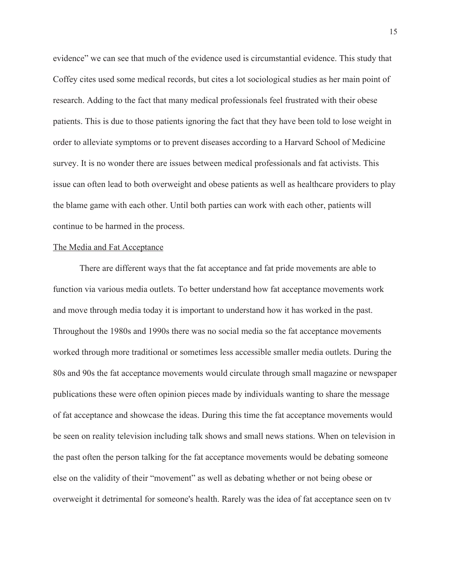evidence" we can see that much of the evidence used is circumstantial evidence. This study that Coffey cites used some medical records, but cites a lot sociological studies as her main point of research. Adding to the fact that many medical professionals feel frustrated with their obese patients. This is due to those patients ignoring the fact that they have been told to lose weight in order to alleviate symptoms or to prevent diseases according to a Harvard School of Medicine survey. It is no wonder there are issues between medical professionals and fat activists. This issue can often lead to both overweight and obese patients as well as healthcare providers to play the blame game with each other. Until both parties can work with each other, patients will continue to be harmed in the process.

#### The Media and Fat Acceptance

There are different ways that the fat acceptance and fat pride movements are able to function via various media outlets. To better understand how fat acceptance movements work and move through media today it is important to understand how it has worked in the past. Throughout the 1980s and 1990s there was no social media so the fat acceptance movements worked through more traditional or sometimes less accessible smaller media outlets. During the 80s and 90s the fat acceptance movements would circulate through small magazine or newspaper publications these were often opinion pieces made by individuals wanting to share the message of fat acceptance and showcase the ideas. During this time the fat acceptance movements would be seen on reality television including talk shows and small news stations. When on television in the past often the person talking for the fat acceptance movements would be debating someone else on the validity of their "movement" as well as debating whether or not being obese or overweight it detrimental for someone's health. Rarely was the idea of fat acceptance seen on tv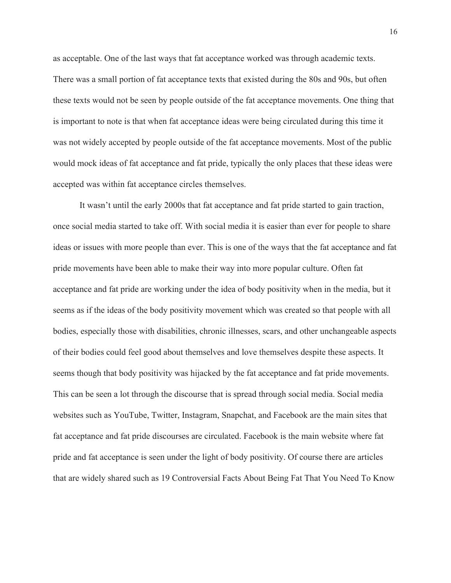as acceptable. One of the last ways that fat acceptance worked was through academic texts. There was a small portion of fat acceptance texts that existed during the 80s and 90s, but often these texts would not be seen by people outside of the fat acceptance movements. One thing that is important to note is that when fat acceptance ideas were being circulated during this time it was not widely accepted by people outside of the fat acceptance movements. Most of the public would mock ideas of fat acceptance and fat pride, typically the only places that these ideas were accepted was within fat acceptance circles themselves.

It wasn't until the early 2000s that fat acceptance and fat pride started to gain traction, once social media started to take off. With social media it is easier than ever for people to share ideas or issues with more people than ever. This is one of the ways that the fat acceptance and fat pride movements have been able to make their way into more popular culture. Often fat acceptance and fat pride are working under the idea of body positivity when in the media, but it seems as if the ideas of the body positivity movement which was created so that people with all bodies, especially those with disabilities, chronic illnesses, scars, and other unchangeable aspects of their bodies could feel good about themselves and love themselves despite these aspects. It seems though that body positivity was hijacked by the fat acceptance and fat pride movements. This can be seen a lot through the discourse that is spread through social media. Social media websites such as YouTube, Twitter, Instagram, Snapchat, and Facebook are the main sites that fat acceptance and fat pride discourses are circulated. Facebook is the main website where fat pride and fat acceptance is seen under the light of body positivity. Of course there are articles that are widely shared such as 19 Controversial Facts About Being Fat That You Need To Know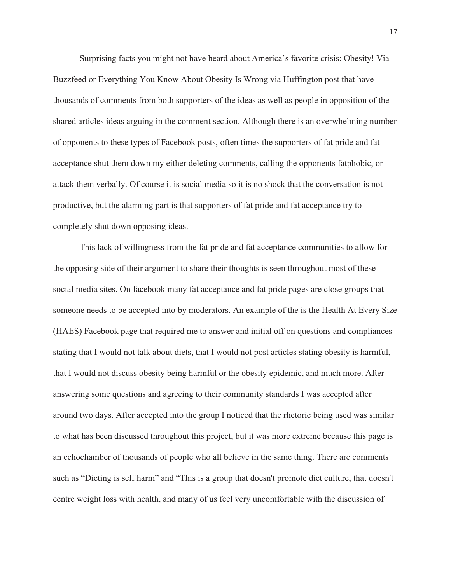Surprising facts you might not have heard about America's favorite crisis: Obesity! Via Buzzfeed or Everything You Know About Obesity Is Wrong via Huffington post that have thousands of comments from both supporters of the ideas as well as people in opposition of the shared articles ideas arguing in the comment section. Although there is an overwhelming number of opponents to these types of Facebook posts, often times the supporters of fat pride and fat acceptance shut them down my either deleting comments, calling the opponents fatphobic, or attack them verbally. Of course it is social media so it is no shock that the conversation is not productive, but the alarming part is that supporters of fat pride and fat acceptance try to completely shut down opposing ideas.

This lack of willingness from the fat pride and fat acceptance communities to allow for the opposing side of their argument to share their thoughts is seen throughout most of these social media sites. On facebook many fat acceptance and fat pride pages are close groups that someone needs to be accepted into by moderators. An example of the is the Health At Every Size (HAES) Facebook page that required me to answer and initial off on questions and compliances stating that I would not talk about diets, that I would not post articles stating obesity is harmful, that I would not discuss obesity being harmful or the obesity epidemic, and much more. After answering some questions and agreeing to their community standards I was accepted after around two days. After accepted into the group I noticed that the rhetoric being used was similar to what has been discussed throughout this project, but it was more extreme because this page is an echochamber of thousands of people who all believe in the same thing. There are comments such as "Dieting is self harm" and "This is a group that doesn't promote diet culture, that doesn't centre weight loss with health, and many of us feel very uncomfortable with the discussion of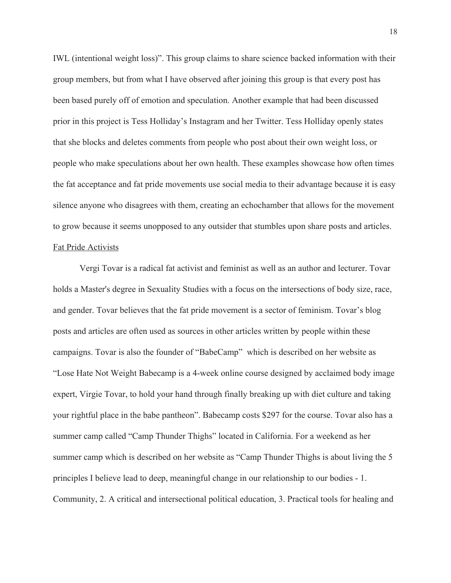IWL (intentional weight loss)". This group claims to share science backed information with their group members, but from what I have observed after joining this group is that every post has been based purely off of emotion and speculation. Another example that had been discussed prior in this project is Tess Holliday's Instagram and her Twitter. Tess Holliday openly states that she blocks and deletes comments from people who post about their own weight loss, or people who make speculations about her own health. These examples showcase how often times the fat acceptance and fat pride movements use social media to their advantage because it is easy silence anyone who disagrees with them, creating an echochamber that allows for the movement to grow because it seems unopposed to any outsider that stumbles upon share posts and articles. Fat Pride Activists

Vergi Tovar is a radical fat activist and feminist as well as an author and lecturer. Tovar holds a Master's degree in Sexuality Studies with a focus on the intersections of body size, race, and gender. Tovar believes that the fat pride movement is a sector of feminism. Tovar's blog posts and articles are often used as sources in other articles written by people within these campaigns. Tovar is also the founder of "BabeCamp" which is described on her website as "Lose Hate Not Weight Babecamp is a 4-week online course designed by acclaimed body image expert, Virgie Tovar, to hold your hand through finally breaking up with diet culture and taking your rightful place in the babe pantheon". Babecamp costs \$297 for the course. Tovar also has a summer camp called "Camp Thunder Thighs" located in California. For a weekend as her summer camp which is described on her website as "Camp Thunder Thighs is about living the 5 principles I believe lead to deep, meaningful change in our relationship to our bodies - 1. Community, 2. A critical and intersectional political education, 3. Practical tools for healing and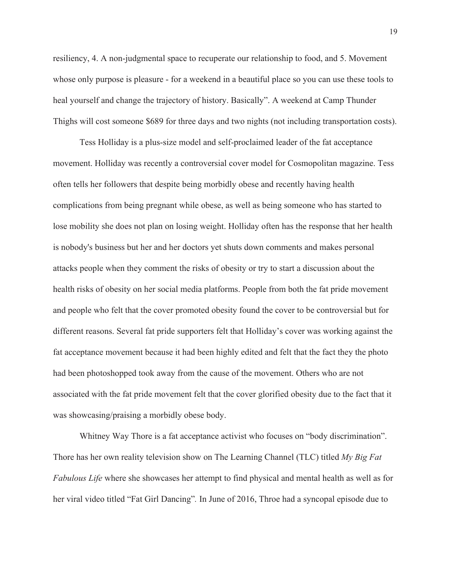resiliency, 4. A non-judgmental space to recuperate our relationship to food, and 5. Movement whose only purpose is pleasure - for a weekend in a beautiful place so you can use these tools to heal yourself and change the trajectory of history. Basically". A weekend at Camp Thunder Thighs will cost someone \$689 for three days and two nights (not including transportation costs).

Tess Holliday is a plus-size model and self-proclaimed leader of the fat acceptance movement. Holliday was recently a controversial cover model for Cosmopolitan magazine. Tess often tells her followers that despite being morbidly obese and recently having health complications from being pregnant while obese, as well as being someone who has started to lose mobility she does not plan on losing weight. Holliday often has the response that her health is nobody's business but her and her doctors yet shuts down comments and makes personal attacks people when they comment the risks of obesity or try to start a discussion about the health risks of obesity on her social media platforms. People from both the fat pride movement and people who felt that the cover promoted obesity found the cover to be controversial but for different reasons. Several fat pride supporters felt that Holliday's cover was working against the fat acceptance movement because it had been highly edited and felt that the fact they the photo had been photoshopped took away from the cause of the movement. Others who are not associated with the fat pride movement felt that the cover glorified obesity due to the fact that it was showcasing/praising a morbidly obese body.

Whitney Way Thore is a fat acceptance activist who focuses on "body discrimination". Thore has her own reality television show on The Learning Channel (TLC) titled *My Big Fat Fabulous Life* where she showcases her attempt to find physical and mental health as well as for her viral video titled "Fat Girl Dancing"*.* In June of 2016, Throe had a syncopal episode due to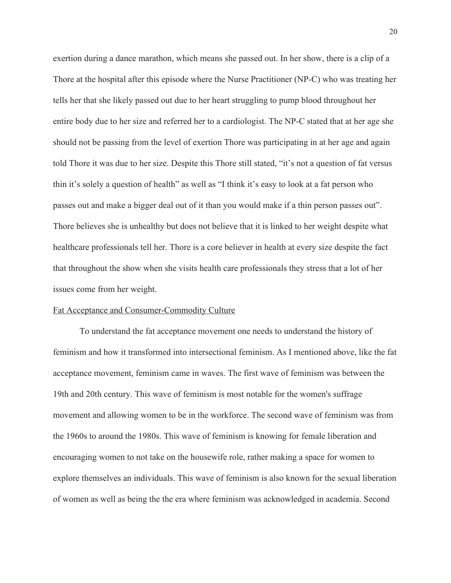exertion during a dance marathon, which means she passed out. In her show, there is a clip of a Thore at the hospital after this episode where the Nurse Practitioner (NP-C) who was treating her tells her that she likely passed out due to her heart struggling to pump blood throughout her entire body due to her size and referred her to a cardiologist. The NP-C stated that at her age she should not be passing from the level of exertion Thore was participating in at her age and again told Thore it was due to her size. Despite this Thore still stated, "it's not a question of fat versus thin it's solely a question of health" as well as "I think it's easy to look at a fat person who passes out and make a bigger deal out of it than you would make if a thin person passes out". Thore believes she is unhealthy but does not believe that it is linked to her weight despite what healthcare professionals tell her. Thore is a core believer in health at every size despite the fact that throughout the show when she visits health care professionals they stress that a lot of her issues come from her weight.

#### Fat Acceptance and Consumer-Commodity Culture

To understand the fat acceptance movement one needs to understand the history of feminism and how it transformed into intersectional feminism. As I mentioned above, like the fat acceptance movement, feminism came in waves. The first wave of feminism was between the 19th and 20th century. This wave of feminism is most notable for the women's suffrage movement and allowing women to be in the workforce. The second wave of feminism was from the 1960s to around the 1980s. This wave of feminism is knowing for female liberation and encouraging women to not take on the housewife role, rather making a space for women to explore themselves an individuals. This wave of feminism is also known for the sexual liberation of women as well as being the the era where feminism was acknowledged in academia. Second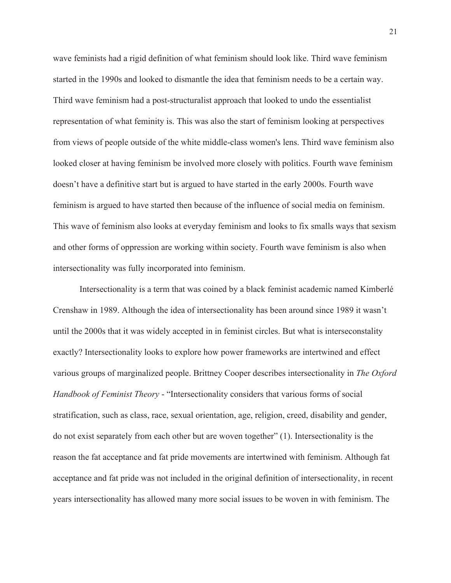wave feminists had a rigid definition of what feminism should look like. Third wave feminism started in the 1990s and looked to dismantle the idea that feminism needs to be a certain way. Third wave feminism had a post-structuralist approach that looked to undo the essentialist representation of what feminity is. This was also the start of feminism looking at perspectives from views of people outside of the white middle-class women's lens. Third wave feminism also looked closer at having feminism be involved more closely with politics. Fourth wave feminism doesn't have a definitive start but is argued to have started in the early 2000s. Fourth wave feminism is argued to have started then because of the influence of social media on feminism. This wave of feminism also looks at everyday feminism and looks to fix smalls ways that sexism and other forms of oppression are working within society. Fourth wave feminism is also when intersectionality was fully incorporated into feminism.

Intersectionality is a term that was coined by a black feminist academic named Kimberlé Crenshaw in 1989. Although the idea of intersectionality has been around since 1989 it wasn't until the 2000s that it was widely accepted in in feminist circles. But what is interseconstality exactly? Intersectionality looks to explore how power frameworks are intertwined and effect various groups of marginalized people. Brittney Cooper describes intersectionality in *The Oxford Handbook of Feminist Theory* - "Intersectionality considers that various forms of social stratification, such as class, race, sexual orientation, age, religion, creed, disability and gender, do not exist separately from each other but are woven together" (1). Intersectionality is the reason the fat acceptance and fat pride movements are intertwined with feminism. Although fat acceptance and fat pride was not included in the original definition of intersectionality, in recent years intersectionality has allowed many more social issues to be woven in with feminism. The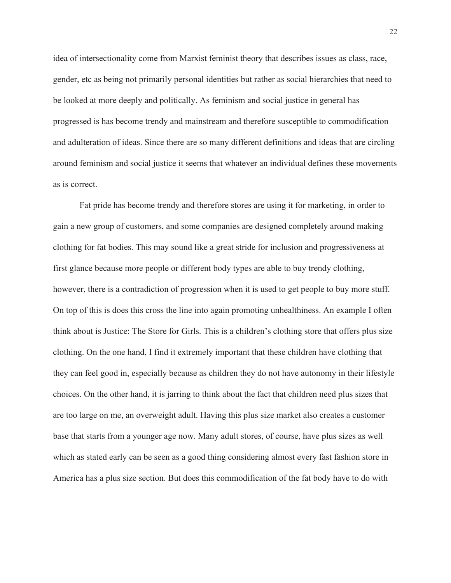idea of intersectionality come from Marxist feminist theory that describes issues as class, race, gender, etc as being not primarily personal identities but rather as social hierarchies that need to be looked at more deeply and politically. As feminism and social justice in general has progressed is has become trendy and mainstream and therefore susceptible to commodification and adulteration of ideas. Since there are so many different definitions and ideas that are circling around feminism and social justice it seems that whatever an individual defines these movements as is correct.

Fat pride has become trendy and therefore stores are using it for marketing, in order to gain a new group of customers, and some companies are designed completely around making clothing for fat bodies. This may sound like a great stride for inclusion and progressiveness at first glance because more people or different body types are able to buy trendy clothing, however, there is a contradiction of progression when it is used to get people to buy more stuff. On top of this is does this cross the line into again promoting unhealthiness. An example I often think about is Justice: The Store for Girls. This is a children's clothing store that offers plus size clothing. On the one hand, I find it extremely important that these children have clothing that they can feel good in, especially because as children they do not have autonomy in their lifestyle choices. On the other hand, it is jarring to think about the fact that children need plus sizes that are too large on me, an overweight adult. Having this plus size market also creates a customer base that starts from a younger age now. Many adult stores, of course, have plus sizes as well which as stated early can be seen as a good thing considering almost every fast fashion store in America has a plus size section. But does this commodification of the fat body have to do with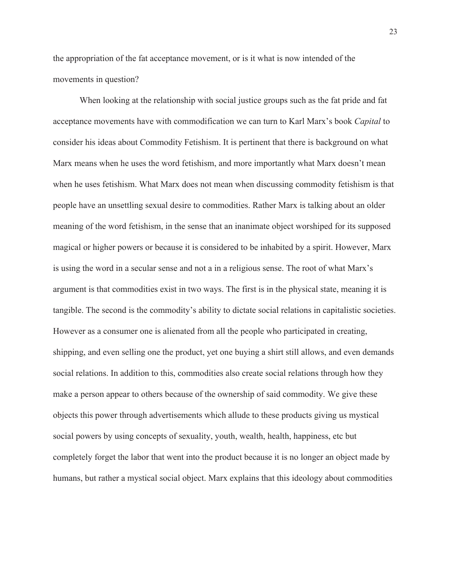the appropriation of the fat acceptance movement, or is it what is now intended of the movements in question?

When looking at the relationship with social justice groups such as the fat pride and fat acceptance movements have with commodification we can turn to Karl Marx's book *Capital* to consider his ideas about Commodity Fetishism. It is pertinent that there is background on what Marx means when he uses the word fetishism, and more importantly what Marx doesn't mean when he uses fetishism. What Marx does not mean when discussing commodity fetishism is that people have an unsettling sexual desire to commodities. Rather Marx is talking about an older meaning of the word fetishism, in the sense that an inanimate object worshiped for its supposed magical or higher powers or because it is considered to be inhabited by a spirit. However, Marx is using the word in a secular sense and not a in a religious sense. The root of what Marx's argument is that commodities exist in two ways. The first is in the physical state, meaning it is tangible. The second is the commodity's ability to dictate social relations in capitalistic societies. However as a consumer one is alienated from all the people who participated in creating, shipping, and even selling one the product, yet one buying a shirt still allows, and even demands social relations. In addition to this, commodities also create social relations through how they make a person appear to others because of the ownership of said commodity. We give these objects this power through advertisements which allude to these products giving us mystical social powers by using concepts of sexuality, youth, wealth, health, happiness, etc but completely forget the labor that went into the product because it is no longer an object made by humans, but rather a mystical social object. Marx explains that this ideology about commodities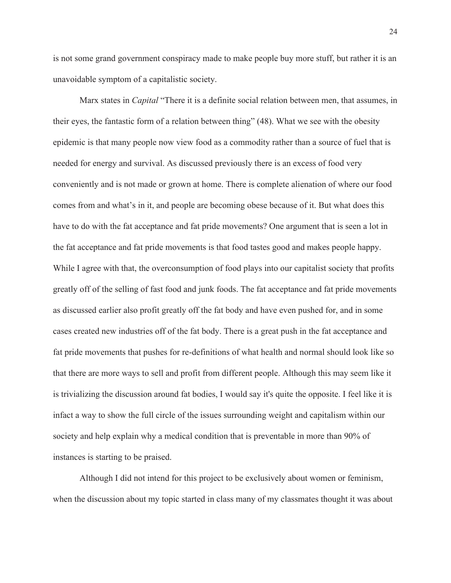is not some grand government conspiracy made to make people buy more stuff, but rather it is an unavoidable symptom of a capitalistic society.

Marx states in *Capital* "There it is a definite social relation between men, that assumes, in their eyes, the fantastic form of a relation between thing" (48). What we see with the obesity epidemic is that many people now view food as a commodity rather than a source of fuel that is needed for energy and survival. As discussed previously there is an excess of food very conveniently and is not made or grown at home. There is complete alienation of where our food comes from and what's in it, and people are becoming obese because of it. But what does this have to do with the fat acceptance and fat pride movements? One argument that is seen a lot in the fat acceptance and fat pride movements is that food tastes good and makes people happy. While I agree with that, the overconsumption of food plays into our capitalist society that profits greatly off of the selling of fast food and junk foods. The fat acceptance and fat pride movements as discussed earlier also profit greatly off the fat body and have even pushed for, and in some cases created new industries off of the fat body. There is a great push in the fat acceptance and fat pride movements that pushes for re-definitions of what health and normal should look like so that there are more ways to sell and profit from different people. Although this may seem like it is trivializing the discussion around fat bodies, I would say it's quite the opposite. I feel like it is infact a way to show the full circle of the issues surrounding weight and capitalism within our society and help explain why a medical condition that is preventable in more than 90% of instances is starting to be praised.

Although I did not intend for this project to be exclusively about women or feminism, when the discussion about my topic started in class many of my classmates thought it was about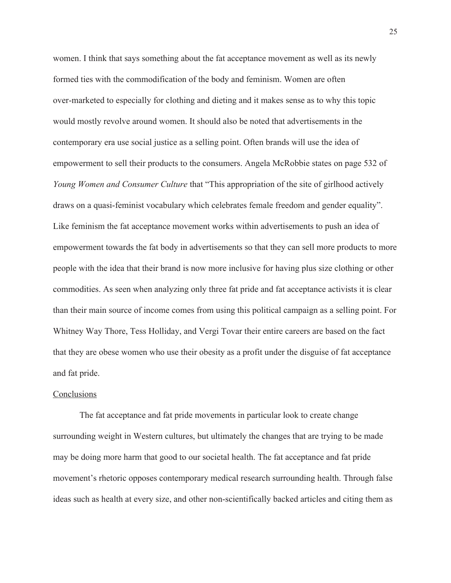women. I think that says something about the fat acceptance movement as well as its newly formed ties with the commodification of the body and feminism. Women are often over-marketed to especially for clothing and dieting and it makes sense as to why this topic would mostly revolve around women. It should also be noted that advertisements in the contemporary era use social justice as a selling point. Often brands will use the idea of empowerment to sell their products to the consumers. Angela McRobbie states on page 532 of *Young Women and Consumer Culture* that "This appropriation of the site of girlhood actively draws on a quasi-feminist vocabulary which celebrates female freedom and gender equality". Like feminism the fat acceptance movement works within advertisements to push an idea of empowerment towards the fat body in advertisements so that they can sell more products to more people with the idea that their brand is now more inclusive for having plus size clothing or other commodities. As seen when analyzing only three fat pride and fat acceptance activists it is clear than their main source of income comes from using this political campaign as a selling point. For Whitney Way Thore, Tess Holliday, and Vergi Tovar their entire careers are based on the fact that they are obese women who use their obesity as a profit under the disguise of fat acceptance and fat pride.

# **Conclusions**

The fat acceptance and fat pride movements in particular look to create change surrounding weight in Western cultures, but ultimately the changes that are trying to be made may be doing more harm that good to our societal health. The fat acceptance and fat pride movement's rhetoric opposes contemporary medical research surrounding health. Through false ideas such as health at every size, and other non-scientifically backed articles and citing them as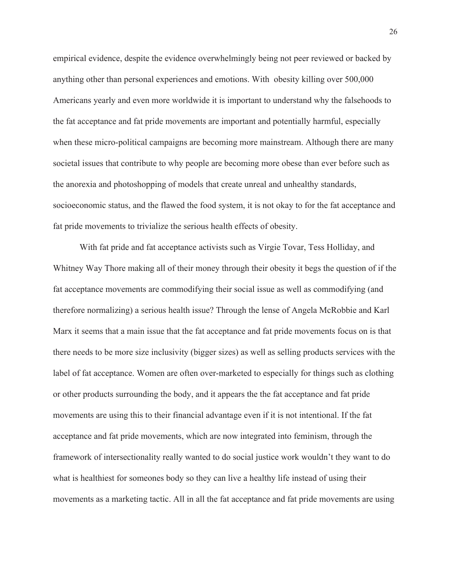empirical evidence, despite the evidence overwhelmingly being not peer reviewed or backed by anything other than personal experiences and emotions. With obesity killing over 500,000 Americans yearly and even more worldwide it is important to understand why the falsehoods to the fat acceptance and fat pride movements are important and potentially harmful, especially when these micro-political campaigns are becoming more mainstream. Although there are many societal issues that contribute to why people are becoming more obese than ever before such as the anorexia and photoshopping of models that create unreal and unhealthy standards, socioeconomic status, and the flawed the food system, it is not okay to for the fat acceptance and fat pride movements to trivialize the serious health effects of obesity.

With fat pride and fat acceptance activists such as Virgie Tovar, Tess Holliday, and Whitney Way Thore making all of their money through their obesity it begs the question of if the fat acceptance movements are commodifying their social issue as well as commodifying (and therefore normalizing) a serious health issue? Through the lense of Angela McRobbie and Karl Marx it seems that a main issue that the fat acceptance and fat pride movements focus on is that there needs to be more size inclusivity (bigger sizes) as well as selling products services with the label of fat acceptance. Women are often over-marketed to especially for things such as clothing or other products surrounding the body, and it appears the the fat acceptance and fat pride movements are using this to their financial advantage even if it is not intentional. If the fat acceptance and fat pride movements, which are now integrated into feminism, through the framework of intersectionality really wanted to do social justice work wouldn't they want to do what is healthiest for someones body so they can live a healthy life instead of using their movements as a marketing tactic. All in all the fat acceptance and fat pride movements are using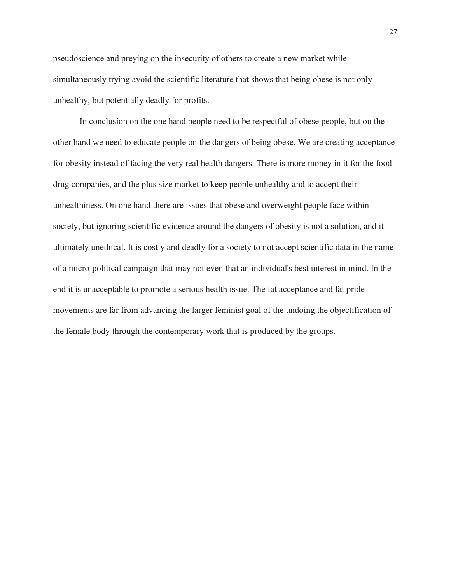pseudoscience and preying on the insecurity of others to create a new market while simultaneously trying avoid the scientific literature that shows that being obese is not only unhealthy, but potentially deadly for profits.

In conclusion on the one hand people need to be respectful of obese people, but on the other hand we need to educate people on the dangers of being obese. We are creating acceptance for obesity instead of facing the very real health dangers. There is more money in it for the food drug companies, and the plus size market to keep people unhealthy and to accept their unhealthiness. On one hand there are issues that obese and overweight people face within society, but ignoring scientific evidence around the dangers of obesity is not a solution, and it ultimately unethical. It is costly and deadly for a society to not accept scientific data in the name of a micro-political campaign that may not even that an individual's best interest in mind. In the end it is unacceptable to promote a serious health issue. The fat acceptance and fat pride movements are far from advancing the larger feminist goal of the undoing the objectification of the female body through the contemporary work that is produced by the groups.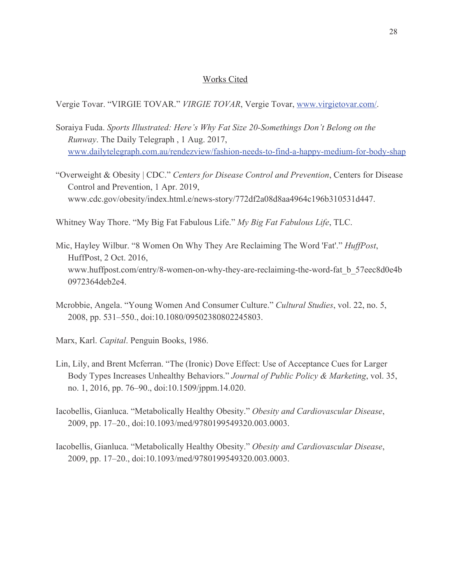# Works Cited

Vergie Tovar. "VIRGIE TOVAR." *VIRGIE TOVAR*, Vergie Tovar, www.virgietovar.com/.

- Soraiya Fuda. *Sports Illustrated: Here's Why Fat Size 20-Somethings Don't Belong on the Runway*. The Daily Telegraph , 1 Aug. 2017, www.dailytelegraph.com.au/rendezview/fashion-needs-to-find-a-happy-medium-for-body-shap
- "Overweight & Obesity | CDC." *Centers for Disease Control and Prevention*, Centers for Disease Control and Prevention, 1 Apr. 2019, www.cdc.gov/obesity/index.html.e/news-story/772df2a08d8aa4964c196b310531d447.
- Whitney Way Thore. "My Big Fat Fabulous Life." *My Big Fat Fabulous Life*, TLC.
- Mic, Hayley Wilbur. "8 Women On Why They Are Reclaiming The Word 'Fat'." *HuffPost*, HuffPost, 2 Oct. 2016, www.huffpost.com/entry/8-women-on-why-they-are-reclaiming-the-word-fat\_b\_57eec8d0e4b 0972364deb2e4.
- Mcrobbie, Angela. "Young Women And Consumer Culture." *Cultural Studies*, vol. 22, no. 5, 2008, pp. 531–550., doi:10.1080/09502380802245803.
- Marx, Karl. *Capital*. Penguin Books, 1986.
- Lin, Lily, and Brent Mcferran. "The (Ironic) Dove Effect: Use of Acceptance Cues for Larger Body Types Increases Unhealthy Behaviors." *Journal of Public Policy & Marketing*, vol. 35, no. 1, 2016, pp. 76–90., doi:10.1509/jppm.14.020.
- Iacobellis, Gianluca. "Metabolically Healthy Obesity." *Obesity and Cardiovascular Disease*, 2009, pp. 17–20., doi:10.1093/med/9780199549320.003.0003.
- Iacobellis, Gianluca. "Metabolically Healthy Obesity." *Obesity and Cardiovascular Disease*, 2009, pp. 17–20., doi:10.1093/med/9780199549320.003.0003.